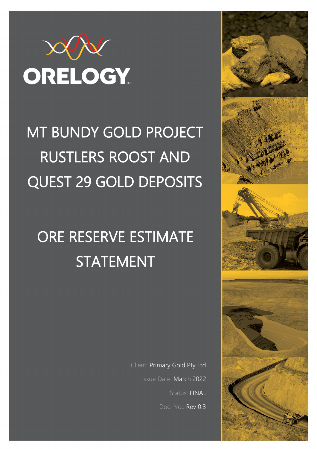

# MT BUNDY GOLD PROJECT RUSTLERS ROOST AND QUEST 29 GOLD DEPOSITS

# ORE RESERVE ESTIMATE STATEMENT

Client: Primary Gold Pty Ltd Issue Date: March 2022 Status: FINAL Doc. No.: Rev 0.3

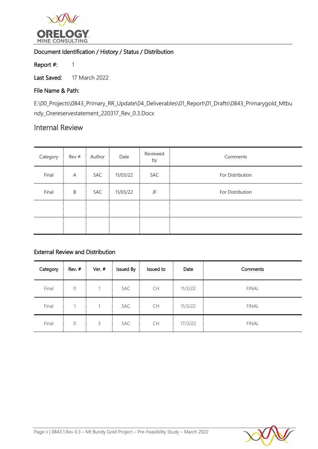

# Document Identification / History / Status / Distribution

Report #: 1

Last Saved: 17 March 2022

# File Name & Path:

E:\00\_Projects\0843\_Primary\_RR\_Update\04\_Deliverables\01\_Report\01\_Drafts\0843\_Primarygold\_Mtbu ndy\_Orereservestatement\_220317\_Rev\_0.3.Docx

# Internal Review

| Category | Rev # | Author | Date     | Reviewed<br>by | Comments         |
|----------|-------|--------|----------|----------------|------------------|
| Final    | A     | SAC    | 11/03/22 | SAC            | For Distribution |
| Final    | B     | SAC    | 11/03/22 | JF             | For Distribution |
|          |       |        |          |                |                  |
|          |       |        |          |                |                  |

# External Review and Distribution

| Category | Rev. #       | Ver. # | Issued By | Issued to | Date    | Comments     |
|----------|--------------|--------|-----------|-----------|---------|--------------|
| Final    | $\mathbf{0}$ |        | SAC       | <b>CH</b> | 11/3/22 | <b>FINAL</b> |
| Final    | 1            |        | SAC       | <b>CH</b> | 11/3/22 | <b>FINAL</b> |
| Final    | $\mathbf{0}$ | 3      | SAC       | CH        | 17/3/22 | <b>FINAL</b> |

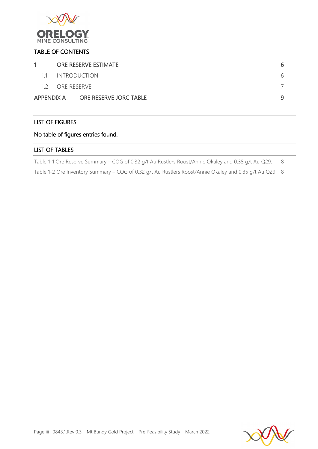

## TABLE OF CONTENTS

| $\mathbf{1}$ | ORE RESERVE ESTIMATE              |   |
|--------------|-----------------------------------|---|
| 11           | <b>INTRODUCTION</b>               |   |
|              | 12 ORE RESERVE                    |   |
|              | APPENDIX A ORE RESERVE JORC TABLE | q |

# LIST OF FIGURES

# No table of figures entries found.

## LIST OF TABLES

[Table 1-1 Ore Reserve Summary – COG of 0.32 g/t Au Rustlers Roost/Annie Okaley](#page-7-0) and 0.35 g/t Au Q29. 8

[Table 1-2 Ore Inventory Summary – COG of 0.32 g/t Au Rustlers Roost/Annie Okaley](#page-7-1) and 0.35 g/t Au Q29. 8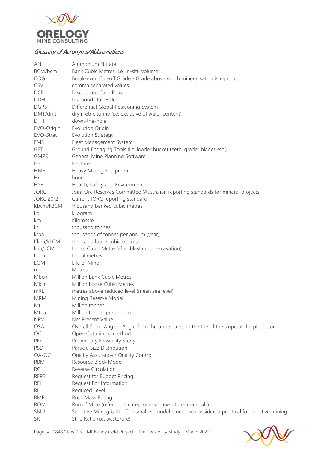

# Glossary of Acronyms/Abbreviations

| AN               | Ammonium Nitrate                                                                                |
|------------------|-------------------------------------------------------------------------------------------------|
| BCM/bcm          | Bank Cubic Metres (i.e. In-situ volume)                                                         |
| COG              | Break-even Cut-off Grade - Grade above which mineralisation is reported                         |
| CSV              | comma separated values                                                                          |
| <b>DCF</b>       | Discounted Cash Flow                                                                            |
| <b>DDH</b>       | Diamond Drill Hole                                                                              |
| <b>DGPS</b>      | Differential Global Positioning System                                                          |
| DMT/dmt          | dry metric tonne (i.e. exclusive of water content)                                              |
| <b>DTH</b>       | down-the-hole                                                                                   |
| EVO-Origin       | <b>Evolution Origin</b>                                                                         |
| EVO-Strat        | <b>Evolution Strategy</b>                                                                       |
| <b>FMS</b>       | Fleet Management System                                                                         |
| <b>GET</b>       | Ground Engaging Tools (i.e. loader bucket teeth, grader blades etc.)                            |
| <b>GMPS</b>      | General Mine Planning Software                                                                  |
| Ha               | Hectare                                                                                         |
| <b>HME</b>       | Heavy Mining Equipment                                                                          |
| Hr               | hour                                                                                            |
| <b>HSE</b>       | Health, Safety and Environment                                                                  |
| <b>JORC</b>      | Joint Ore Reserves Committee (Australian reporting standards for mineral projects)              |
| <b>JORC 2012</b> | Current JORC reporting standard                                                                 |
| Kbcm/kBCM        | thousand banked cubic metres                                                                    |
| kg               | kilogram                                                                                        |
| km               | Kilometre                                                                                       |
| kt               | thousand tonnes                                                                                 |
| ktpa             | thousands of tonnes per annum (year)                                                            |
| Klcm/kLCM        | thousand loose cubic metres                                                                     |
| lcm/LCM          | Loose Cubic Metre (after blasting or excavation)                                                |
| $\lim m$         | Lineal metres                                                                                   |
| LOM              | Life of Mine                                                                                    |
| m                | Metres                                                                                          |
| Mbcm             | Million Bank Cubic Metres                                                                       |
| Mlcm             | Million Loose Cubic Metres                                                                      |
| mRL              | metres above reduced level (mean sea level)                                                     |
| <b>MRM</b>       | Mining Reserve Model                                                                            |
| Mt               | Million tonnes                                                                                  |
| Mtpa             | Million tonnes per annum                                                                        |
| <b>NPV</b>       | Net Present Value                                                                               |
| <b>OSA</b>       | Overall Slope Angle - Angle from the upper crest to the toe of the slope at the pit bottom      |
| OC               | Open Cut mining method                                                                          |
| PFS              | Preliminary Feasibility Study                                                                   |
| PSD              | Particle Size Distribution                                                                      |
| QA/QC            | Quality Assurance / Quality Control                                                             |
| <b>RBM</b>       | Resource Block Model                                                                            |
| <b>RC</b>        | Reverse Circulation                                                                             |
| <b>RFPB</b>      | Request for Budget Pricing                                                                      |
| <b>RFI</b>       | Request For Information                                                                         |
| RL               | Reduced Level                                                                                   |
| <b>RMR</b>       | Rock Mass Rating                                                                                |
| <b>ROM</b>       | Run of Mine (referring to un-processed ex-pit ore materials)                                    |
| SMU              | Selective Mining Unit - The smallest model block size considered practical for selective mining |
| <b>SR</b>        | Strip Ratio (i.e. waste/ore)                                                                    |
|                  |                                                                                                 |

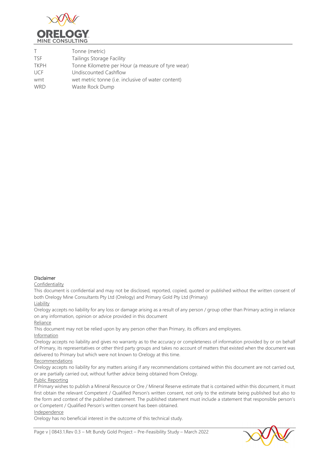

| T           | Tonne (metric)                                     |
|-------------|----------------------------------------------------|
| <b>TSF</b>  | Tailings Storage Facility                          |
| <b>TKPH</b> | Tonne Kilometre per Hour (a measure of tyre wear)  |
| <b>UCF</b>  | Undiscounted Cashflow                              |
| wmt         | wet metric tonne (i.e. inclusive of water content) |
| <b>WRD</b>  | Waste Rock Dump                                    |

#### Disclaimer

#### Confidentiality

This document is confidential and may not be disclosed, reported, copied, quoted or published without the written consent of both Orelogy Mine Consultants Pty Ltd (Orelogy) and Primary Gold Pty Ltd (Primary)

#### Liability

Orelogy accepts no liability for any loss or damage arising as a result of any person / group other than Primary acting in reliance on any information, opinion or advice provided in this document

#### Reliance

This document may not be relied upon by any person other than Primary, its officers and employees.

#### Information

Orelogy accepts no liability and gives no warranty as to the accuracy or completeness of information provided by or on behalf of Primary, its representatives or other third party groups and takes no account of matters that existed when the document was delivered to Primary but which were not known to Orelogy at this time.

#### Recommendations

Orelogy accepts no liability for any matters arising if any recommendations contained within this document are not carried out, or are partially carried out, without further advice being obtained from Orelogy.

#### Public Reporting

If Primary wishes to publish a Mineral Resource or Ore / Mineral Reserve estimate that is contained within this document, it must first obtain the relevant Competent / Qualified Person's written consent, not only to the estimate being published but also to the form and context of the published statement. The published statement must include a statement that responsible person's or Competent / Qualified Person's written consent has been obtained.

#### Independence

Orelogy has no beneficial interest in the outcome of this technical study.

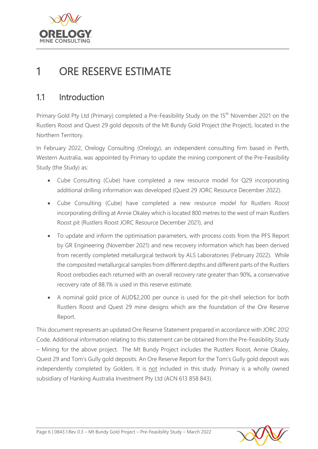

# <span id="page-5-0"></span>1 ORE RESERVE ESTIMATE

# <span id="page-5-1"></span>1.1 Introduction

Primary Gold Pty Ltd (Primary) completed a Pre-Feasibility Study on the 15<sup>th</sup> November 2021 on the Rustlers Roost and Quest 29 gold deposits of the Mt Bundy Gold Project (the Project), located in the Northern Territory.

In February 2022, Orelogy Consulting (Orelogy), an independent consulting firm based in Perth, Western Australia, was appointed by Primary to update the mining component of the Pre-Feasibility Study (the Study) as:

- Cube Consulting (Cube) have completed a new resource model for Q29 incorporating additional drilling information was developed (Quest 29 JORC Resource December 2022).
- Cube Consulting (Cube) have completed a new resource model for Rustlers Roost incorporating drilling at Annie Okaley which is located 800 metres to the west of main Rustlers Roost pit (Rustlers Roost JORC Resource December 2021), and
- To update and inform the optimisation parameters, with process costs from the PFS Report by GR Engineering (November 2021) and new recovery information which has been derived from recently completed metallurgical testwork by ALS Laboratories (February 2022). While the composited metallurgical samples from different depths and different parts of the Rustlers Roost orebodies each returned with an overall recovery rate greater than 90%, a conservative recovery rate of 88.1% is used in this reserve estimate.
- A nominal gold price of AUD\$2,200 per ounce is used for the pit-shell selection for both Rustlers Roost and Quest 29 mine designs which are the foundation of the Ore Reserve Report.

This document represents an updated Ore Reserve Statement prepared in accordance with JORC 2012 Code. Additional information relating to this statement can be obtained from the Pre-Feasibility Study – Mining for the above project. The Mt Bundy Project includes the Rustlers Roost, Annie Okaley, Quest 29 and Tom's Gully gold deposits. An Ore Reserve Report for the Tom's Gully gold deposit was independently completed by Golders. It is not included in this study. Primary is a wholly owned subsidiary of Hanking Australia Investment Pty Ltd (ACN 613 858 843).

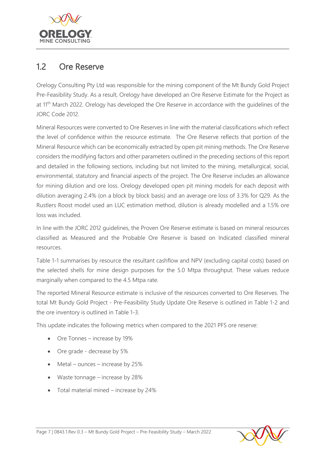

# <span id="page-6-0"></span>1.2 Ore Reserve

Orelogy Consulting Pty Ltd was responsible for the mining component of the Mt Bundy Gold Project Pre-Feasibility Study. As a result, Orelogy have developed an Ore Reserve Estimate for the Project as at 11<sup>th</sup> March 2022. Orelogy has developed the Ore Reserve in accordance with the quidelines of the JORC Code 2012.

Mineral Resources were converted to Ore Reserves in line with the material classifications which reflect the level of confidence within the resource estimate. The Ore Reserve reflects that portion of the Mineral Resource which can be economically extracted by open pit mining methods. The Ore Reserve considers the modifying factors and other parameters outlined in the preceding sections of this report and detailed in the following sections, including but not limited to the mining, metallurgical, social, environmental, statutory and financial aspects of the project. The Ore Reserve includes an allowance for mining dilution and ore loss. Orelogy developed open pit mining models for each deposit with dilution averaging 2.4% (on a block by block basis) and an average ore loss of 3.3% for Q29. As the Rustlers Roost model used an LUC estimation method, dilution is already modelled and a 1.5% ore loss was included.

In line with the JORC 2012 guidelines, the Proven Ore Reserve estimate is based on mineral resources classified as Measured and the Probable Ore Reserve is based on Indicated classified mineral resources.

[Table 1-1](#page-7-2) summarises by resource the resultant cashflow and NPV (excluding capital costs) based on the selected shells for mine design purposes for the 5.0 Mtpa throughput. These values reduce marginally when compared to the 4.5 Mtpa rate.

The reported Mineral Resource estimate is inclusive of the resources converted to Ore Reserves. The total Mt Bundy Gold Project - Pre-Feasibility Study Update Ore Reserve is outlined in [Table 1-2](#page-6-1) and the ore inventory is outlined in Table 1-3.

This update indicates the following metrics when compared to the 2021 PFS ore reserve:

- Ore Tonnes increase by 19%
- Ore grade decrease by 5%
- Metal ounces increase by 25%
- Waste tonnage increase by 28%
- <span id="page-6-1"></span>• Total material mined – increase by 24%

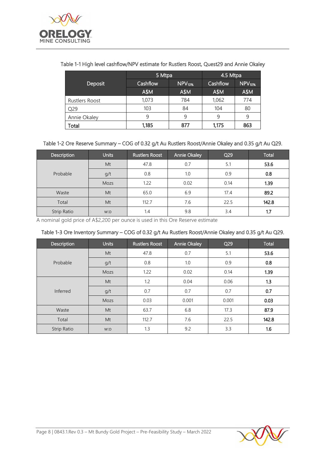

## <span id="page-7-2"></span>Table 1-1 High level cashflow/NPV estimate for Rustlers Roost, Quest29 and Annie Okaley

<span id="page-7-0"></span>

|                 | 5 Mtpa   |                    | 4.5 Mtpa |                    |  |
|-----------------|----------|--------------------|----------|--------------------|--|
| Deposit         | Cashflow | NPV <sub>10%</sub> | Cashflow | NPV <sub>10%</sub> |  |
|                 | A\$M     | A\$M               | A\$M     | A\$M               |  |
| Rustlers Roost  | 1,073    | 784                | 1,062    | 774                |  |
| O <sub>29</sub> | 103      | 84                 | 104      | 80                 |  |
| Annie Okaley    | 9        | 9                  | 9        | 9                  |  |
| Total           | 1,185    | 877                | 1,175    | 863                |  |

### Table 1-2 Ore Reserve Summary – COG of 0.32 g/t Au Rustlers Roost/Annie Okaley and 0.35 g/t Au Q29.

| Description | <b>Units</b> | <b>Rustlers Roost</b> | Annie Okaley | Q <sub>29</sub> | Total |
|-------------|--------------|-----------------------|--------------|-----------------|-------|
|             | Mt           | 47.8                  | 0.7          | 5.1             | 53.6  |
| Probable    | g/t          | 0.8                   | 1.0          | 0.9             | 0.8   |
|             | Mozs         | 1.22                  | 0.02         | 0.14            | 1.39  |
| Waste       | Mt           | 65.0                  | 6.9          | 17.4            | 89.2  |
| Total       | Mt           | 112.7                 | 7.6          | 22.5            | 142.8 |
| Strip Ratio | W.O          | 1.4                   | 9.8          | 3.4             | 1.7   |

A nominal gold price of A\$2,200 per ounce is used in this Ore Reserve estimate

### <span id="page-7-1"></span>Table 1-3 Ore Inventory Summary – COG of 0.32 g/t Au Rustlers Roost/Annie Okaley and 0.35 g/t Au Q29.

| Description | <b>Units</b> | <b>Rustlers Roost</b> | <b>Annie Okaley</b> | Q <sub>29</sub> | Total |
|-------------|--------------|-----------------------|---------------------|-----------------|-------|
|             | Mt           | 47.8                  | 0.7                 | 5.1             | 53.6  |
| Probable    | g/t          | 0.8                   | 1.0                 | 0.9             | 0.8   |
|             | Mozs         | 1.22                  | 0.02                | 0.14            | 1.39  |
|             | Mt           | 1.2                   | 0.04                | 0.06            | 1.3   |
| Inferred    | g/t          | 0.7                   | 0.7                 | 0.7             | 0.7   |
|             | Mozs         | 0.03                  | 0.001               | 0.001           | 0.03  |
| Waste       | Mt           | 63.7                  | 6.8                 | 17.3            | 87.9  |
| Total       | Mt           | 112.7                 | 7.6                 | 22.5            | 142.8 |
| Strip Ratio | W.O          | 1.3                   | 9.2                 | 3.3             | 1.6   |

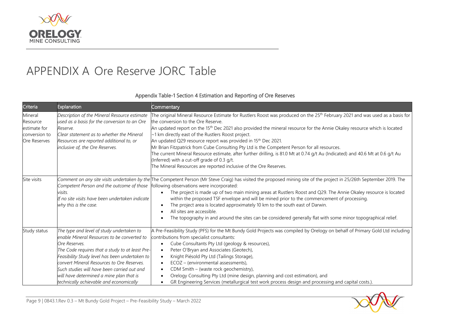

# APPENDIX A Ore Reserve JORC Table

## Appendix Table-1 Section 4 Estimation and Reporting of Ore Reserves

<span id="page-8-0"></span>

| Criteria                                                             | <b>Explanation</b>                                                                                                                                                                                                                                                                                                                                                                                 | Commentary                                                                                                                                                                                                                                                                                                                                                                                                                                                                                                                                                                                                                                                                                                                                                                                                      |
|----------------------------------------------------------------------|----------------------------------------------------------------------------------------------------------------------------------------------------------------------------------------------------------------------------------------------------------------------------------------------------------------------------------------------------------------------------------------------------|-----------------------------------------------------------------------------------------------------------------------------------------------------------------------------------------------------------------------------------------------------------------------------------------------------------------------------------------------------------------------------------------------------------------------------------------------------------------------------------------------------------------------------------------------------------------------------------------------------------------------------------------------------------------------------------------------------------------------------------------------------------------------------------------------------------------|
| Mineral<br>Resource<br>estimate for<br>conversion to<br>Ore Reserves | Description of the Mineral Resource estimate<br>used as a basis for the conversion to an Ore<br>Reserve.<br>Clear statement as to whether the Mineral<br>Resources are reported additional to, or<br>inclusive of, the Ore Reserves.                                                                                                                                                               | The original Mineral Resource Estimate for Rustlers Roost was produced on the 25 <sup>th</sup> February 2021 and was used as a basis for<br>the conversion to the Ore Reserve.<br>An updated report on the 15 <sup>th</sup> Dec 2021 also provided the mineral resource for the Annie Okaley resource which is located<br>~1 km directly east of the Rustlers Roost project.<br>An updated Q29 resource report was provided in 15 <sup>th</sup> Dec 2021.<br>Mr Brian Fitzpatrick from Cube Consulting Pty Ltd is the Competent Person for all resources.<br>The current Mineral Resource estimate, after further drilling, is 81.0 Mt at 0.74 g/t Au (Indicated) and 40.6 Mt at 0.6 g/t Au<br>(Inferred) with a cut-off grade of 0.3 g/t.<br>The Mineral Resources are reported inclusive of the Ore Reserves. |
| Site visits                                                          | Competent Person and the outcome of those<br>visits.<br>If no site visits have been undertaken indicate<br>why this is the case.                                                                                                                                                                                                                                                                   | Comment on any site visits undertaken by the The Competent Person (Mr Steve Craig) has visited the proposed mining site of the project in 25/26th September 2019. The<br>following observations were incorporated:<br>The project is made up of two main mining areas at Rustlers Roost and Q29. The Annie Okaley resource is located<br>within the proposed TSF envelope and will be mined prior to the commencement of processing.<br>The project area is located approximately 10 km to the south east of Darwin.<br>All sites are accessible.<br>The topography in and around the sites can be considered generally flat with some minor topographical relief.                                                                                                                                              |
| Study status                                                         | The type and level of study undertaken to<br>enable Mineral Resources to be converted to<br>Ore Reserves.<br>The Code requires that a study to at least Pre-<br>Feasibility Study level has been undertaken to<br>convert Mineral Resources to Ore Reserves.<br>Such studies will have been carried out and<br>will have determined a mine plan that is<br>technically achievable and economically | A Pre-Feasibility Study (PFS) for the Mt Bundy Gold Projects was compiled by Orelogy on behalf of Primary Gold Ltd including<br>contributions from specialist consultants:<br>Cube Consultants Pty Ltd (geology & resources),<br>Peter O'Bryan and Associates (Geotech),<br>Knight Piésold Pty Ltd (Tailings Storage),<br>ECOZ - (environmental assessments),<br>CDM Smith - (waste rock geochemistry),<br>Orelogy Consulting Pty Ltd (mine design, planning and cost estimation), and<br>GR Engineering Services (metallurgical test work process design and processing and capital costs.).                                                                                                                                                                                                                   |

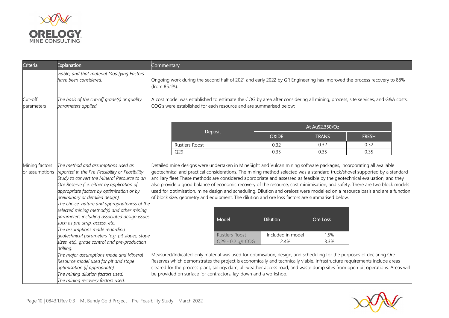

| Criteria              | Explanation                                                                                                                                                                                                                                                                                                                                                                                                                                                                                                                                                                                         | Commentary                                                                                                                                                                                          |                                                                                                                                                                                                                                                                               |                                              |                          |                                                                                                                                                                                                                                                                                                                                                                                                                                                                                                                        |
|-----------------------|-----------------------------------------------------------------------------------------------------------------------------------------------------------------------------------------------------------------------------------------------------------------------------------------------------------------------------------------------------------------------------------------------------------------------------------------------------------------------------------------------------------------------------------------------------------------------------------------------------|-----------------------------------------------------------------------------------------------------------------------------------------------------------------------------------------------------|-------------------------------------------------------------------------------------------------------------------------------------------------------------------------------------------------------------------------------------------------------------------------------|----------------------------------------------|--------------------------|------------------------------------------------------------------------------------------------------------------------------------------------------------------------------------------------------------------------------------------------------------------------------------------------------------------------------------------------------------------------------------------------------------------------------------------------------------------------------------------------------------------------|
|                       | viable, and that material Modifying Factors<br>have been considered.                                                                                                                                                                                                                                                                                                                                                                                                                                                                                                                                | (from 85.1%).                                                                                                                                                                                       |                                                                                                                                                                                                                                                                               |                                              |                          | Ongoing work during the second half of 2021 and early 2022 by GR Engineering has improved the process recovery to 88%                                                                                                                                                                                                                                                                                                                                                                                                  |
| Cut-off<br>parameters | The basis of the cut-off grade(s) or quality<br>parameters applied.                                                                                                                                                                                                                                                                                                                                                                                                                                                                                                                                 | A cost model was established to estimate the COG by area after considering all mining, process, site services, and G&A costs.<br>COG's were established for each resource and are summarised below: |                                                                                                                                                                                                                                                                               |                                              |                          |                                                                                                                                                                                                                                                                                                                                                                                                                                                                                                                        |
|                       |                                                                                                                                                                                                                                                                                                                                                                                                                                                                                                                                                                                                     |                                                                                                                                                                                                     |                                                                                                                                                                                                                                                                               |                                              | At Au\$2,350/Oz          |                                                                                                                                                                                                                                                                                                                                                                                                                                                                                                                        |
|                       |                                                                                                                                                                                                                                                                                                                                                                                                                                                                                                                                                                                                     |                                                                                                                                                                                                     | Deposit                                                                                                                                                                                                                                                                       | <b>OXIDE</b>                                 | <b>TRANS</b>             | <b>FRESH</b>                                                                                                                                                                                                                                                                                                                                                                                                                                                                                                           |
|                       |                                                                                                                                                                                                                                                                                                                                                                                                                                                                                                                                                                                                     | <b>Rustlers Roost</b>                                                                                                                                                                               |                                                                                                                                                                                                                                                                               | 0.32                                         | 0.32                     | 0.32                                                                                                                                                                                                                                                                                                                                                                                                                                                                                                                   |
|                       |                                                                                                                                                                                                                                                                                                                                                                                                                                                                                                                                                                                                     | Q29                                                                                                                                                                                                 |                                                                                                                                                                                                                                                                               | 0.35                                         | 0.35                     | 0.35                                                                                                                                                                                                                                                                                                                                                                                                                                                                                                                   |
|                       | Study to convert the Mineral Resource to an<br>Ore Reserve (i.e. either by application of<br>appropriate factors by optimisation or by<br>preliminary or detailed design).<br>The choice, nature and appropriateness of the<br>selected mining method(s) and other mining<br>parameters including associated design issues<br>such as pre-strip, access, etc.<br>The assumptions made regarding<br>geotechnical parameters (e.g. pit slopes, stope<br>sizes, etc), grade control and pre-production<br>drilling.<br>The major assumptions made and Mineral<br>Resource model used for pit and stope |                                                                                                                                                                                                     | of block size, geometry and equipment. The dilution and ore loss factors are summarised below.<br>Model<br><b>Rustlers Roost</b><br>Q29 - 0.2 g/t COG<br>Measured/Indicated-only material was used for optimisation, design, and scheduling for the purposes of declaring Ore | <b>Dilution</b><br>Included in model<br>2.4% | Ore Loss<br>1.5%<br>3.3% | ancillary fleet These methods are considered appropriate and assessed as feasible by the geotechnical evaluation, and they<br>also provide a good balance of economic recovery of the resource, cost minimisation, and safety. There are two block models<br>used for optimisation, mine design and scheduling. Dilution and oreloss were modelled on a resource basis and are a function<br>Reserves which demonstrates the project is economically and technically viable. Infrastructure requirements include areas |
|                       | optimisation (if appropriate).<br>The mining dilution factors used.<br>The mining recovery factors used.                                                                                                                                                                                                                                                                                                                                                                                                                                                                                            |                                                                                                                                                                                                     | be provided on surface for contractors, lay-down and a workshop.                                                                                                                                                                                                              |                                              |                          | cleared for the process plant, tailings dam, all-weather access road, and waste dump sites from open pit operations. Areas will                                                                                                                                                                                                                                                                                                                                                                                        |

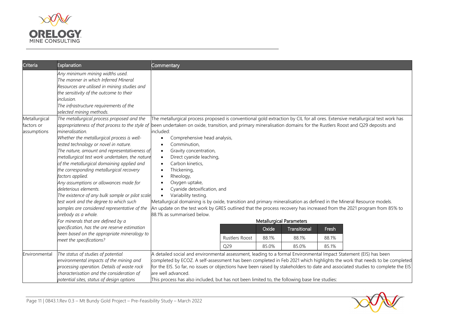

| Criteria                                   | Explanation                                                                                                                                                                                                                                                                                                                                                                                                                                                                                                                                                                                                                                                                                                                                           | Commentary                                                                                                                                                                                                                                                                                                                                                                                                                                                                                                                                                                                                                                                                                                                                                                                                               |                       |                |                                 |                |                                                                                                                          |
|--------------------------------------------|-------------------------------------------------------------------------------------------------------------------------------------------------------------------------------------------------------------------------------------------------------------------------------------------------------------------------------------------------------------------------------------------------------------------------------------------------------------------------------------------------------------------------------------------------------------------------------------------------------------------------------------------------------------------------------------------------------------------------------------------------------|--------------------------------------------------------------------------------------------------------------------------------------------------------------------------------------------------------------------------------------------------------------------------------------------------------------------------------------------------------------------------------------------------------------------------------------------------------------------------------------------------------------------------------------------------------------------------------------------------------------------------------------------------------------------------------------------------------------------------------------------------------------------------------------------------------------------------|-----------------------|----------------|---------------------------------|----------------|--------------------------------------------------------------------------------------------------------------------------|
|                                            | Any minimum mining widths used.<br>The manner in which Inferred Mineral<br>Resources are utilised in mining studies and<br>the sensitivity of the outcome to their<br>inclusion.<br>The infrastructure requirements of the<br>selected mining methods.                                                                                                                                                                                                                                                                                                                                                                                                                                                                                                |                                                                                                                                                                                                                                                                                                                                                                                                                                                                                                                                                                                                                                                                                                                                                                                                                          |                       |                |                                 |                |                                                                                                                          |
| Metallurgical<br>factors or<br>assumptions | The metallurgical process proposed and the<br>appropriateness of that process to the style of<br>mineralisation.<br>Whether the metallurgical process is well-<br>tested technology or novel in nature.<br>The nature, amount and representativeness of<br>metallurgical test work undertaken, the nature<br>of the metallurgical domaining applied and<br>the corresponding metallurgical recovery<br>factors applied.<br>Any assumptions or allowances made for<br>deleterious elements.<br>The existence of any bulk sample or pilot scale<br>test work and the degree to which such<br>samples are considered representative of the<br>orebody as a whole.<br>For minerals that are defined by a<br>specification, has the ore reserve estimation | The metallurgical process proposed is conventional gold extraction by CIL for all ores. Extensive metallurgical test work has<br>been undertaken on oxide, transition, and primary mineralisation domains for the Rustlers Roost and Q29 deposits and<br>included:<br>Comprehensive head analysis,<br>Comminution,<br>Gravity concentration,<br>$\bullet$<br>Direct cyanide leaching,<br>$\bullet$<br>Carbon kinetics,<br>Thickening,<br>Rheology,<br>Oxygen uptake,<br>Cyanide detoxification, and<br>Variability testing.<br>$\bullet$<br>Metallurgical domaining is by oxide, transition and primary mineralisation as defined in the Mineral Resource models.<br>An update on the test work by GRES outlined that the process recovery has increased from the 2021 program from 85% to<br>88.1% as summarised below. |                       |                | <b>Metallurgical Parameters</b> |                |                                                                                                                          |
|                                            | been based on the appropriate mineralogy to<br>meet the specifications?                                                                                                                                                                                                                                                                                                                                                                                                                                                                                                                                                                                                                                                                               |                                                                                                                                                                                                                                                                                                                                                                                                                                                                                                                                                                                                                                                                                                                                                                                                                          | <b>Rustlers Roost</b> | Oxide<br>88.1% | Transitional<br>88.1%           | Fresh<br>88.1% |                                                                                                                          |
|                                            |                                                                                                                                                                                                                                                                                                                                                                                                                                                                                                                                                                                                                                                                                                                                                       |                                                                                                                                                                                                                                                                                                                                                                                                                                                                                                                                                                                                                                                                                                                                                                                                                          | Q29                   | 85.0%          | 85.0%                           | 85.1%          |                                                                                                                          |
| Environmental                              | The status of studies of potential<br>environmental impacts of the mining and<br>processing operation. Details of waste rock<br>characterisation and the consideration of<br>potential sites, status of design options                                                                                                                                                                                                                                                                                                                                                                                                                                                                                                                                | A detailed social and environmental assessment, leading to a formal Environmental Impact Statement (EIS) has been<br>for the EIS. So far, no issues or objections have been raised by stakeholders to date and associated studies to complete the EIS<br>are well advanced.<br>This process has also included, but has not been limited to, the following base line studies:                                                                                                                                                                                                                                                                                                                                                                                                                                             |                       |                |                                 |                | completed by ECOZ. A self-assessment has been completed in Feb 2021 which highlights the work that needs to be completed |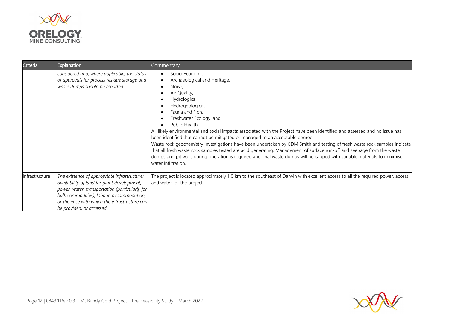

| Criteria       | Explanation                                                                                                                                                                                                                                                              | Commentary                                                                                                                                                                                                                                                                                                                                                                                                                                                                                                                                                                                                                                                                                                                                                                                               |
|----------------|--------------------------------------------------------------------------------------------------------------------------------------------------------------------------------------------------------------------------------------------------------------------------|----------------------------------------------------------------------------------------------------------------------------------------------------------------------------------------------------------------------------------------------------------------------------------------------------------------------------------------------------------------------------------------------------------------------------------------------------------------------------------------------------------------------------------------------------------------------------------------------------------------------------------------------------------------------------------------------------------------------------------------------------------------------------------------------------------|
|                | considered and, where applicable, the status<br>of approvals for process residue storage and<br>waste dumps should be reported.                                                                                                                                          | Socio-Economic,<br>Archaeological and Heritage,<br>Noise,<br>Air Quality,<br>Hydrological,<br>Hydrogeological,<br>Fauna and Flora,<br>Freshwater Ecology, and<br>Public Health.<br>All likely environmental and social impacts associated with the Project have been identified and assessed and no issue has<br>been identified that cannot be mitigated or managed to an acceptable degree.<br>Waste rock geochemistry investigations have been undertaken by CDM Smith and testing of fresh waste rock samples indicate<br>that all fresh waste rock samples tested are acid generating. Management of surface run-off and seepage from the waste<br>dumps and pit walls during operation is required and final waste dumps will be capped with suitable materials to minimise<br>water infiltration. |
| Infrastructure | The existence of appropriate infrastructure:<br>availability of land for plant development,<br>power, water, transportation (particularly for<br>bulk commodities), labour, accommodation;<br>or the ease with which the infrastructure can<br>be provided, or accessed. | The project is located approximately 110 km to the southeast of Darwin with excellent access to all the required power, access,<br>and water for the project.                                                                                                                                                                                                                                                                                                                                                                                                                                                                                                                                                                                                                                            |

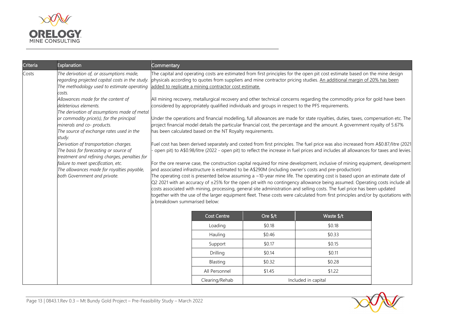

| Criteria                                                                                                                         | Explanation                                                                                                                                            | Commentary                                                                                                                                                                                                                                                                                                                                                                                                                                                                                                                                                                                                                                                                                                                                                                                        |                    |                                                                                                                                                                                                                                                                             |                     |  |
|----------------------------------------------------------------------------------------------------------------------------------|--------------------------------------------------------------------------------------------------------------------------------------------------------|---------------------------------------------------------------------------------------------------------------------------------------------------------------------------------------------------------------------------------------------------------------------------------------------------------------------------------------------------------------------------------------------------------------------------------------------------------------------------------------------------------------------------------------------------------------------------------------------------------------------------------------------------------------------------------------------------------------------------------------------------------------------------------------------------|--------------------|-----------------------------------------------------------------------------------------------------------------------------------------------------------------------------------------------------------------------------------------------------------------------------|---------------------|--|
| Costs                                                                                                                            | The derivation of, or assumptions made,<br>regarding projected capital costs in the study.<br>The methodology used to estimate operating<br>costs.     | The capital and operating costs are estimated from first principles for the open pit cost estimate based on the mine design<br>physicals according to quotes from suppliers and mine contractor pricing studies. An additional margin of 20% has been<br>added to replicate a mining contractor cost estimate.<br>All mining recovery, metallurgical recovery and other technical concerns regarding the commodity price for gold have been<br>considered by appropriately qualified individuals and groups in respect to the PFS requirements.<br>Under the operations and financial modelling, full allowances are made for state royalties, duties, taxes, compensation etc. The                                                                                                               |                    |                                                                                                                                                                                                                                                                             |                     |  |
|                                                                                                                                  | Allowances made for the content of<br>deleterious elements.<br>The derivation of assumptions made of metal<br>or commodity price(s), for the principal |                                                                                                                                                                                                                                                                                                                                                                                                                                                                                                                                                                                                                                                                                                                                                                                                   |                    |                                                                                                                                                                                                                                                                             |                     |  |
|                                                                                                                                  | minerals and co- products.<br>The source of exchange rates used in the<br>study.                                                                       | project financial model details the particular financial cost, the percentage and the amount. A government royalty of 5.67%<br>has been calculated based on the NT Royalty requirements.                                                                                                                                                                                                                                                                                                                                                                                                                                                                                                                                                                                                          |                    |                                                                                                                                                                                                                                                                             |                     |  |
| Derivation of transportation charges.<br>The basis for forecasting or source of<br>treatment and refining charges, penalties for |                                                                                                                                                        |                                                                                                                                                                                                                                                                                                                                                                                                                                                                                                                                                                                                                                                                                                                                                                                                   |                    | Fuel cost has been derived separately and costed from first principles. The fuel price was also increased from A\$0.87/litre (2021<br>open pit) to A\$0.98/litre (2022 - open pit) to reflect the increase in fuel prices and includes all allowances for taxes and levies. |                     |  |
|                                                                                                                                  | failure to meet specification, etc.<br>The allowances made for royalties payable,<br>both Government and private.                                      | For the ore reserve case, the construction capital required for mine development, inclusive of mining equipment, development<br>and associated infrastructure is estimated to be A\$290M (including owner's costs and pre-production)<br>The operating cost is presented below assuming a ~10-year mine life. The operating cost is based upon an estimate date of<br>Q2 2021 with an accuracy of ±25% for the open pit with no contingency allowance being assumed. Operating costs include all<br>costs associated with mining, processing, general site administration and selling costs. The fuel price has been updated<br>together with the use of the larger equipment fleet. These costs were calculated from first principles and/or by quotations with<br>a breakdown summarised below: |                    |                                                                                                                                                                                                                                                                             |                     |  |
|                                                                                                                                  |                                                                                                                                                        |                                                                                                                                                                                                                                                                                                                                                                                                                                                                                                                                                                                                                                                                                                                                                                                                   | <b>Cost Centre</b> | Ore \$/t                                                                                                                                                                                                                                                                    | Waste \$/t          |  |
|                                                                                                                                  |                                                                                                                                                        |                                                                                                                                                                                                                                                                                                                                                                                                                                                                                                                                                                                                                                                                                                                                                                                                   | Loading            | \$0.18                                                                                                                                                                                                                                                                      | \$0.18              |  |
|                                                                                                                                  |                                                                                                                                                        |                                                                                                                                                                                                                                                                                                                                                                                                                                                                                                                                                                                                                                                                                                                                                                                                   | Hauling            | \$0.46                                                                                                                                                                                                                                                                      | \$0.33              |  |
|                                                                                                                                  |                                                                                                                                                        |                                                                                                                                                                                                                                                                                                                                                                                                                                                                                                                                                                                                                                                                                                                                                                                                   | Support            | \$0.17                                                                                                                                                                                                                                                                      | \$0.15              |  |
|                                                                                                                                  |                                                                                                                                                        |                                                                                                                                                                                                                                                                                                                                                                                                                                                                                                                                                                                                                                                                                                                                                                                                   | Drilling           | \$0.14                                                                                                                                                                                                                                                                      | \$0.11              |  |
|                                                                                                                                  |                                                                                                                                                        |                                                                                                                                                                                                                                                                                                                                                                                                                                                                                                                                                                                                                                                                                                                                                                                                   | Blasting           | \$0.32                                                                                                                                                                                                                                                                      | \$0.28              |  |
|                                                                                                                                  |                                                                                                                                                        |                                                                                                                                                                                                                                                                                                                                                                                                                                                                                                                                                                                                                                                                                                                                                                                                   | All Personnel      | \$1.45                                                                                                                                                                                                                                                                      | \$1.22              |  |
|                                                                                                                                  |                                                                                                                                                        |                                                                                                                                                                                                                                                                                                                                                                                                                                                                                                                                                                                                                                                                                                                                                                                                   | Clearing/Rehab     |                                                                                                                                                                                                                                                                             | Included in capital |  |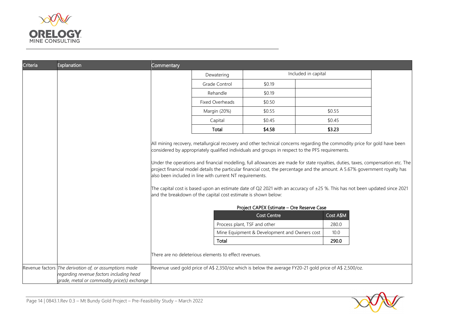

| Criteria | Explanation                                                                                                                                       | <b>Commentary</b>                                                                                                                                                                                                                                                                                          |                                                                                                        |                                              |  |           |  |
|----------|---------------------------------------------------------------------------------------------------------------------------------------------------|------------------------------------------------------------------------------------------------------------------------------------------------------------------------------------------------------------------------------------------------------------------------------------------------------------|--------------------------------------------------------------------------------------------------------|----------------------------------------------|--|-----------|--|
|          |                                                                                                                                                   |                                                                                                                                                                                                                                                                                                            | Included in capital<br>Dewatering                                                                      |                                              |  |           |  |
|          |                                                                                                                                                   |                                                                                                                                                                                                                                                                                                            | Grade Control                                                                                          | \$0.19                                       |  |           |  |
|          |                                                                                                                                                   |                                                                                                                                                                                                                                                                                                            | Rehandle                                                                                               | \$0.19                                       |  |           |  |
|          |                                                                                                                                                   |                                                                                                                                                                                                                                                                                                            | Fixed Overheads                                                                                        | \$0.50                                       |  |           |  |
|          |                                                                                                                                                   |                                                                                                                                                                                                                                                                                                            | Margin (20%)                                                                                           | \$0.55                                       |  | \$0.55    |  |
|          |                                                                                                                                                   |                                                                                                                                                                                                                                                                                                            | Capital                                                                                                | \$0.45                                       |  | \$0.45    |  |
|          |                                                                                                                                                   |                                                                                                                                                                                                                                                                                                            | Total                                                                                                  | \$4.58                                       |  | \$3.23    |  |
|          |                                                                                                                                                   | also been included in line with current NT requirements.<br>The capital cost is based upon an estimate date of Q2 2021 with an accuracy of $\pm 25$ %. This has not been updated since 2021<br>and the breakdown of the capital cost estimate is shown below:<br>Project CAPEX Estimate - Ore Reserve Case |                                                                                                        |                                              |  |           |  |
|          |                                                                                                                                                   |                                                                                                                                                                                                                                                                                                            |                                                                                                        | <b>Cost Centre</b>                           |  | Cost A\$M |  |
|          |                                                                                                                                                   |                                                                                                                                                                                                                                                                                                            |                                                                                                        | Process plant, TSF and other                 |  | 280.0     |  |
|          |                                                                                                                                                   |                                                                                                                                                                                                                                                                                                            |                                                                                                        | Mine Equipment & Development and Owners cost |  | 10.0      |  |
|          |                                                                                                                                                   |                                                                                                                                                                                                                                                                                                            | Total                                                                                                  |                                              |  | 290.0     |  |
|          |                                                                                                                                                   |                                                                                                                                                                                                                                                                                                            | There are no deleterious elements to effect revenues.                                                  |                                              |  |           |  |
|          | Revenue factors The derivation of, or assumptions made<br>regarding revenue factors including head<br>grade, metal or commodity price(s) exchange |                                                                                                                                                                                                                                                                                                            | Revenue used gold price of A\$ 2,350/oz which is below the average FY20-21 gold price of A\$ 2,500/oz. |                                              |  |           |  |

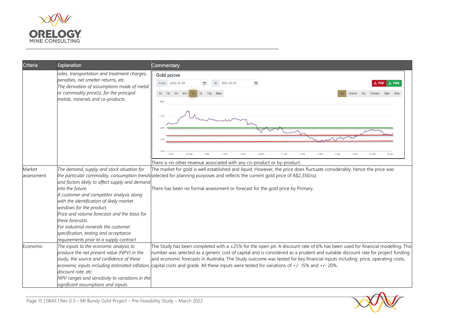

| Criteria             | Explanation                                                                                                                                                                                                                                                                                                                                                                                                                           | Commentary                                                                                                                                                                                                                                                                                                                                                                                                                                                                                                                                         |
|----------------------|---------------------------------------------------------------------------------------------------------------------------------------------------------------------------------------------------------------------------------------------------------------------------------------------------------------------------------------------------------------------------------------------------------------------------------------|----------------------------------------------------------------------------------------------------------------------------------------------------------------------------------------------------------------------------------------------------------------------------------------------------------------------------------------------------------------------------------------------------------------------------------------------------------------------------------------------------------------------------------------------------|
|                      | rates, transportation and treatment charges,<br>penalties, net smelter returns, etc.<br>The derivation of assumptions made of metal<br>or commodity price(s), for the principal<br>metals, minerals and co-products.                                                                                                                                                                                                                  | <b>Gold prices</b><br>From 2020-07-03<br>$\frac{3}{31}$<br>To<br>2021-07-01<br>$\frac{4}{31}$<br>1d 7d<br>3m<br>3y<br>10 <sub>y</sub><br>Max<br>6m<br>Grams Kg<br>Tael<br><b>Tonnes</b><br><b>AUD</b>                                                                                                                                                                                                                                                                                                                                              |
|                      |                                                                                                                                                                                                                                                                                                                                                                                                                                       | $13 \mathrm{Ju}$<br>10 Aug<br>7 Sen<br>5 Oct<br>2 Nov<br>30 Nov<br>11 Jan<br>8 Feb<br>8 Mai<br>5 Apr<br>3 Mar<br>28 Jun<br>There is no other revenue associated with any co-product or by-product.                                                                                                                                                                                                                                                                                                                                                 |
| Market<br>assessment | The demand, supply and stock situation for<br>and factors likely to affect supply and demand<br>into the future.<br>A customer and competitor analysis along<br>with the identification of likely market<br>windows for the product.<br>Price and volume forecasts and the basis for<br>these forecasts.<br>For industrial minerals the customer<br>specification, testing and acceptance<br>requirements prior to a supply contract. | The market for gold is well established and liquid. However, the price does fluctuate considerably, hence the price was<br>the particular commodity, consumption trends selected for planning purposes and reflects the current gold price of A\$2,350/oz.<br>There has been no formal assessment or forecast for the gold price by Primary.                                                                                                                                                                                                       |
| Economic             | The inputs to the economic analysis to<br>produce the net present value (NPV) in the<br>study, the source and confidence of these<br>discount rate, etc.<br>NPV ranges and sensitivity to variations in the<br>significant assumptions and inputs.                                                                                                                                                                                    | The Study has been completed with a $\pm 25\%$ for the open pit. A discount rate of 6% has been used for financial modelling. This<br>number was selected as a generic cost of capital and is considered as a prudent and suitable discount rate for project funding<br>and economic forecasts in Australia. The Study outcome was tested for key financial inputs including: price, operating costs,<br>economic inputs including estimated inflation, capital costs and grade. All these inputs were tested for variations of +/-15% and +/-20%. |

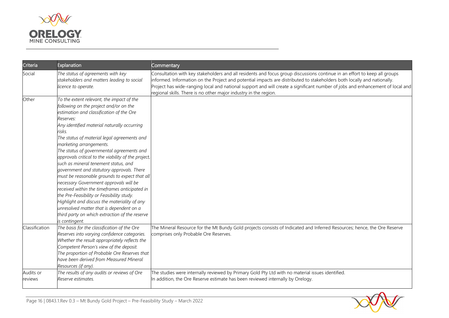

| Criteria             | Explanation                                                                                                                                                                                                                                                                                                                                                                                                                                                                                                                                                                                                                                                                                                                                                                                                                       | Commentary                                                                                                                                                                                                                                                                                                                                                                                                                                                |
|----------------------|-----------------------------------------------------------------------------------------------------------------------------------------------------------------------------------------------------------------------------------------------------------------------------------------------------------------------------------------------------------------------------------------------------------------------------------------------------------------------------------------------------------------------------------------------------------------------------------------------------------------------------------------------------------------------------------------------------------------------------------------------------------------------------------------------------------------------------------|-----------------------------------------------------------------------------------------------------------------------------------------------------------------------------------------------------------------------------------------------------------------------------------------------------------------------------------------------------------------------------------------------------------------------------------------------------------|
| Social               | The status of agreements with key<br>stakeholders and matters leading to social<br>licence to operate.                                                                                                                                                                                                                                                                                                                                                                                                                                                                                                                                                                                                                                                                                                                            | Consultation with key stakeholders and all residents and focus group discussions continue in an effort to keep all groups<br>informed. Information on the Project and potential impacts are distributed to stakeholders both locally and nationally.<br>Project has wide-ranging local and national support and will create a significant number of jobs and enhancement of local and<br>regional skills. There is no other major industry in the region. |
| Other                | To the extent relevant, the impact of the<br>following on the project and/or on the<br>estimation and classification of the Ore<br>Reserves:<br>Any identified material naturally occurring<br>risks.<br>The status of material legal agreements and<br>marketing arrangements.<br>The status of governmental agreements and<br>approvals critical to the viability of the project,<br>such as mineral tenement status, and<br>government and statutory approvals. There<br>must be reasonable grounds to expect that all<br>necessary Government approvals will be<br>received within the timeframes anticipated in<br>the Pre-Feasibility or Feasibility study.<br>Highlight and discuss the materiality of any<br>unresolved matter that is dependent on a<br>third party on which extraction of the reserve<br>is contingent. |                                                                                                                                                                                                                                                                                                                                                                                                                                                           |
| Classification       | The basis for the classification of the Ore<br>Reserves into varying confidence categories.<br>Whether the result appropriately reflects the<br>Competent Person's view of the deposit.<br>The proportion of Probable Ore Reserves that<br>have been derived from Measured Mineral<br>Resources (if any).                                                                                                                                                                                                                                                                                                                                                                                                                                                                                                                         | The Mineral Resource for the Mt Bundy Gold projects consists of Indicated and Inferred Resources; hence, the Ore Reserve<br>comprises only Probable Ore Reserves.                                                                                                                                                                                                                                                                                         |
| Audits or<br>reviews | The results of any audits or reviews of Ore<br>Reserve estimates.                                                                                                                                                                                                                                                                                                                                                                                                                                                                                                                                                                                                                                                                                                                                                                 | The studies were internally reviewed by Primary Gold Pty Ltd with no material issues identified.<br>In addition, the Ore Reserve estimate has been reviewed internally by Orelogy.                                                                                                                                                                                                                                                                        |